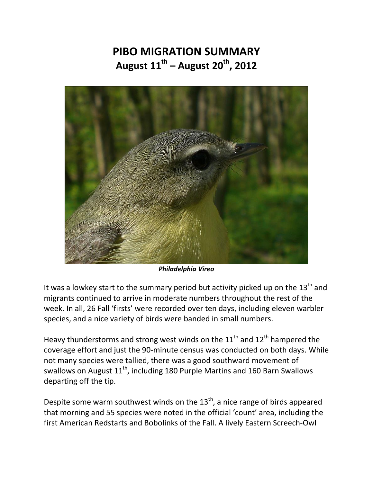## **PIBO MIGRATION SUMMARY August 11th – August 20th, 2012**



*Philadelphia Vireo* 

It was a lowkey start to the summary period but activity picked up on the  $13<sup>th</sup>$  and migrants continued to arrive in moderate numbers throughout the rest of the week. In all, 26 Fall 'firsts' were recorded over ten days, including eleven warbler species, and a nice variety of birds were banded in small numbers.

Heavy thunderstorms and strong west winds on the  $11^{\text{th}}$  and  $12^{\text{th}}$  hampered the coverage effort and just the 90-minute census was conducted on both days. While not many species were tallied, there was a good southward movement of swallows on August  $11^{th}$ , including 180 Purple Martins and 160 Barn Swallows departing off the tip.

Despite some warm southwest winds on the  $13<sup>th</sup>$ , a nice range of birds appeared that morning and 55 species were noted in the official 'count' area, including the first American Redstarts and Bobolinks of the Fall. A lively Eastern Screech-Owl